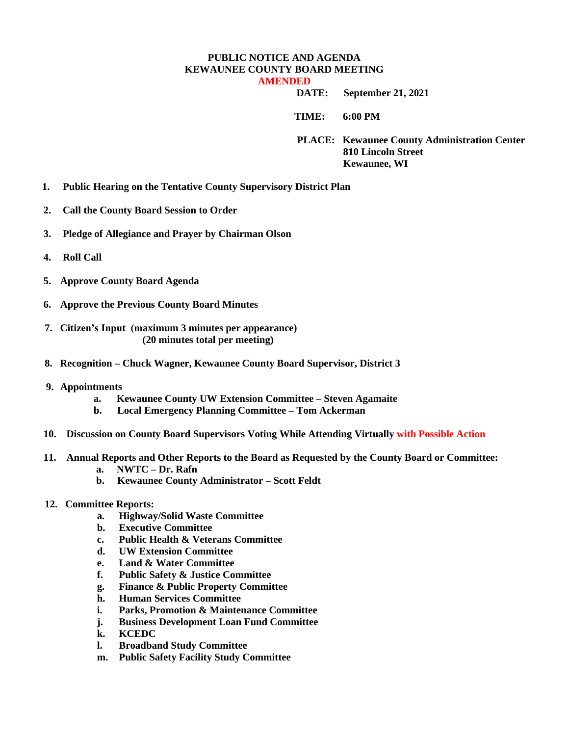## **PUBLIC NOTICE AND AGENDA KEWAUNEE COUNTY BOARD MEETING AMENDED**

 **DATE: September 21, 2021**

**TIME: 6:00 PM** 

**PLACE: Kewaunee County Administration Center 810 Lincoln Street Kewaunee, WI**

- **1. Public Hearing on the Tentative County Supervisory District Plan**
- **2. Call the County Board Session to Order**
- **3. Pledge of Allegiance and Prayer by Chairman Olson**
- **4. Roll Call**
- **5. Approve County Board Agenda**
- **6. Approve the Previous County Board Minutes**
- **7. Citizen's Input (maximum 3 minutes per appearance) (20 minutes total per meeting)**
- **8. Recognition – Chuck Wagner, Kewaunee County Board Supervisor, District 3**
- **9. Appointments**
	- **a. Kewaunee County UW Extension Committee – Steven Agamaite**
	- **b. Local Emergency Planning Committee – Tom Ackerman**
- **10. Discussion on County Board Supervisors Voting While Attending Virtually with Possible Action**
- **11. Annual Reports and Other Reports to the Board as Requested by the County Board or Committee: a. NWTC – Dr. Rafn**
	- **b. Kewaunee County Administrator – Scott Feldt**
- **12. Committee Reports:**
	- **a. Highway/Solid Waste Committee**
	- **b. Executive Committee**
	- **c. Public Health & Veterans Committee**
	- **d. UW Extension Committee**
	- **e. Land & Water Committee**
	- **f. Public Safety & Justice Committee**
	- **g. Finance & Public Property Committee**
	- **h. Human Services Committee**
	- **i. Parks, Promotion & Maintenance Committee**
	- **j. Business Development Loan Fund Committee**
	- **k. KCEDC**
	- **l. Broadband Study Committee**
	- **m. Public Safety Facility Study Committee**